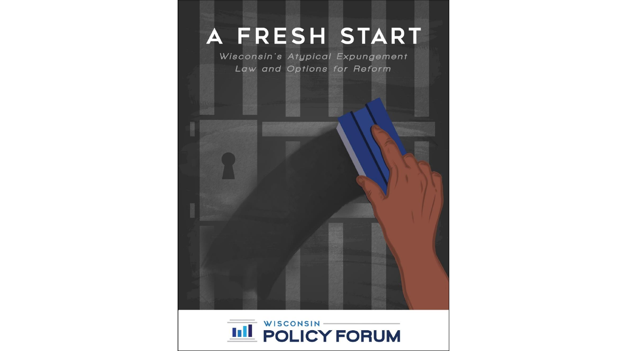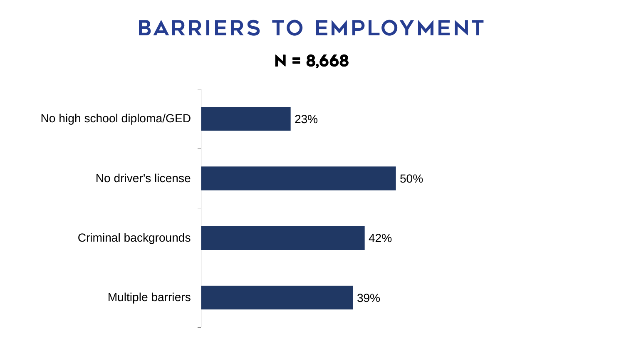# BARRIERS TO EMPLOYMENT N = 8,668

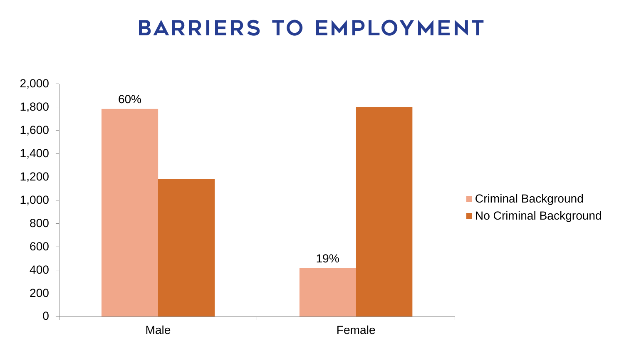#### BARRIERS TO EMPLOYMENT

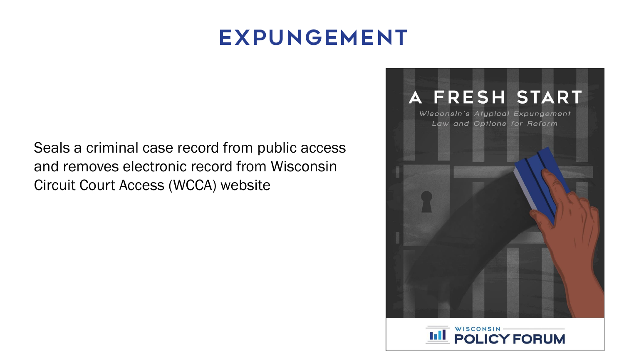#### **EXPUNGEMENT**

Seals a criminal case record from public access and removes electronic record from Wisconsin Circuit Court Access (WCCA) website



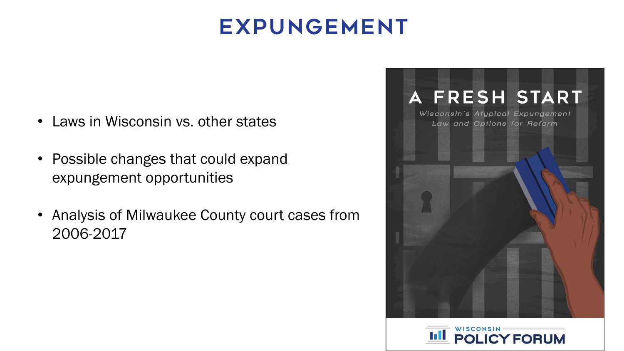## **EXPUNGEMENT**

- Laws in Wisconsin vs. other states
- Possible changes that could expand expungement opportunities
- Analysis of Milwaukee County court cases from 2006-2017



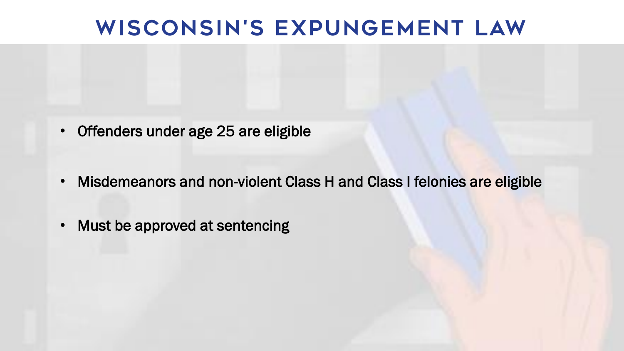#### WISCONSIN'S EXPUNGEMENT LAW

- Offenders under age 25 are eligible
- Misdemeanors and non-violent Class H and Class I felonies are eligible
- Must be approved at sentencing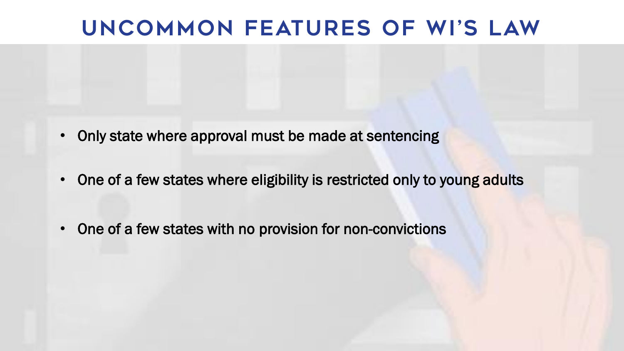#### UNCOMMON FEATURES OF WI'S LAW

- Only state where approval must be made at sentencing
- One of a few states where eligibility is restricted only to young adults
- One of a few states with no provision for non-convictions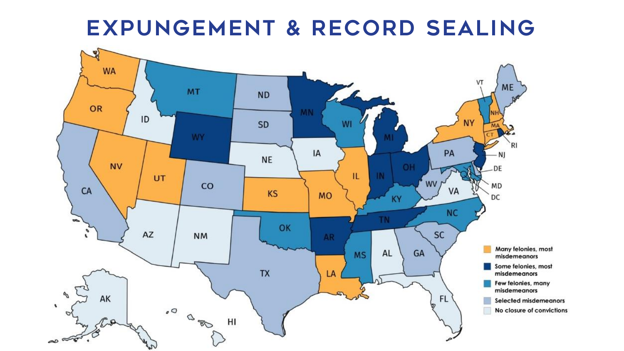#### EXPUNGEMENT & RECORD SEALING

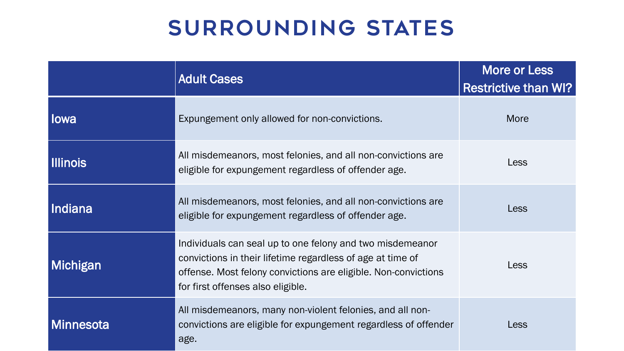# surrounding states

|                  | <b>Adult Cases</b>                                                                                                                                                                                                             | <b>More or Less</b><br><b>Restrictive than WI?</b> |
|------------------|--------------------------------------------------------------------------------------------------------------------------------------------------------------------------------------------------------------------------------|----------------------------------------------------|
| lowa             | Expungement only allowed for non-convictions.                                                                                                                                                                                  | <b>More</b>                                        |
| <b>Illinois</b>  | All misdemeanors, most felonies, and all non-convictions are<br>eligible for expungement regardless of offender age.                                                                                                           | Less                                               |
| Indiana          | All misdemeanors, most felonies, and all non-convictions are<br>eligible for expungement regardless of offender age.                                                                                                           | Less                                               |
| <b>Michigan</b>  | Individuals can seal up to one felony and two misdemeanor<br>convictions in their lifetime regardless of age at time of<br>offense. Most felony convictions are eligible. Non-convictions<br>for first offenses also eligible. | Less                                               |
| <b>Minnesota</b> | All misdemeanors, many non-violent felonies, and all non-<br>convictions are eligible for expungement regardless of offender<br>age.                                                                                           | Less                                               |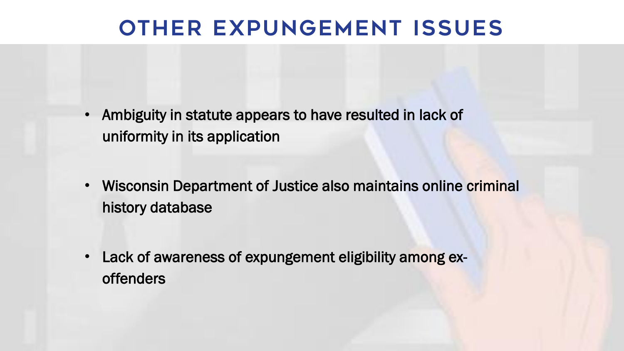## Other Expungement issues

- Ambiguity in statute appears to have resulted in lack of uniformity in its application
- Wisconsin Department of Justice also maintains online criminal history database
- Lack of awareness of expungement eligibility among exoffenders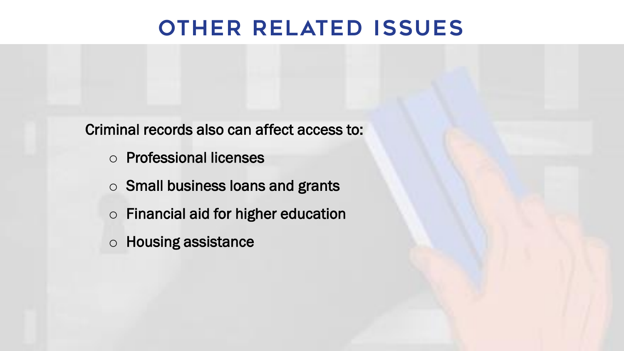## Other Related issues

Criminal records also can affect access to:

- o Professional licenses
- o Small business loans and grants
- o Financial aid for higher education
- o Housing assistance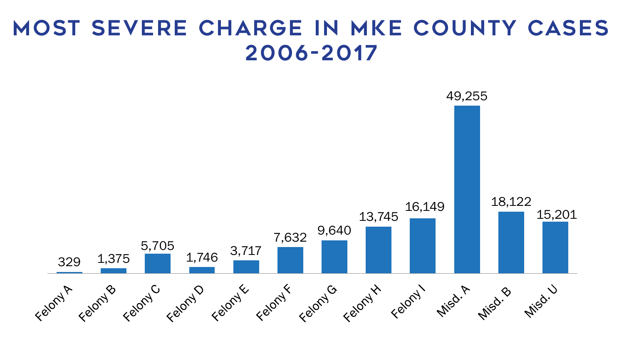#### Most Severe charge in MKE County cases 2006-2017

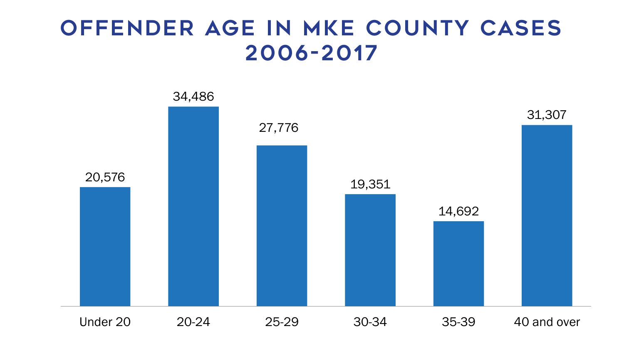#### Offender Age in MKE County cases 2006-2017

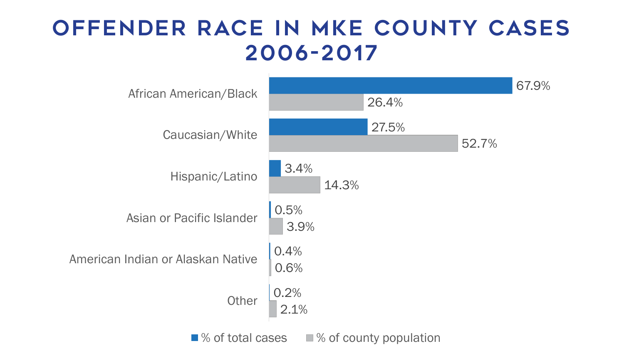## Offender race in MKE County cases 2006-2017



 $\blacksquare$ % of total cases  $\blacksquare$ % of county population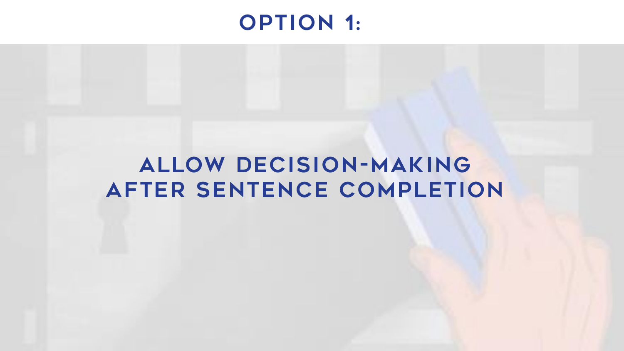#### **OPTION 1:**

## ALLOW DECISION-MAKING AFTER SENTENCE COMPLETION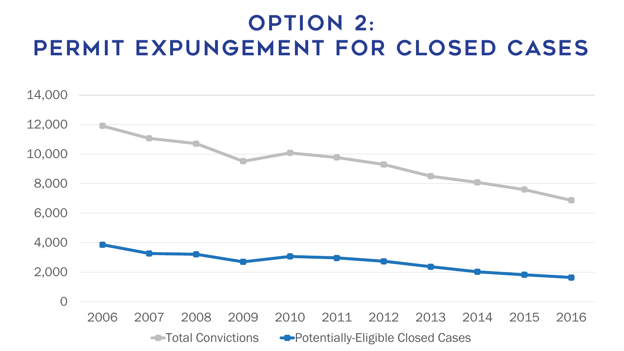# **OPTION 2:** PERMIT EXPUNGEMENT FOR CLOSED CASES

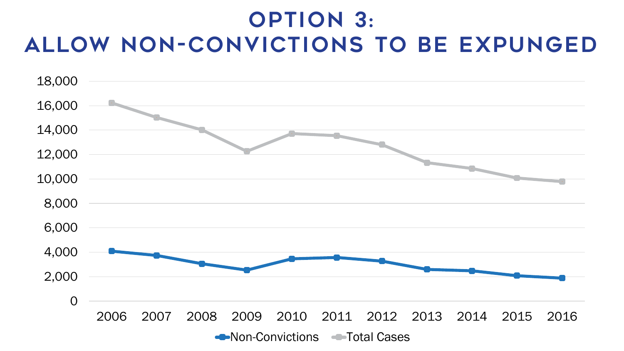## **OPTION 3:** ALLOW NON-CONVICTIONS TO BE EXPUNGED

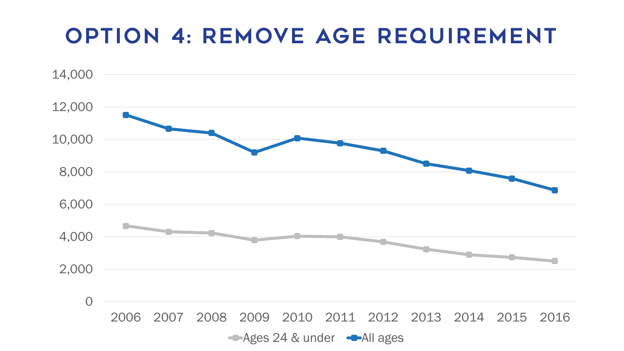## **OPTION 4: REMOVE AGE REQUIREMENT**

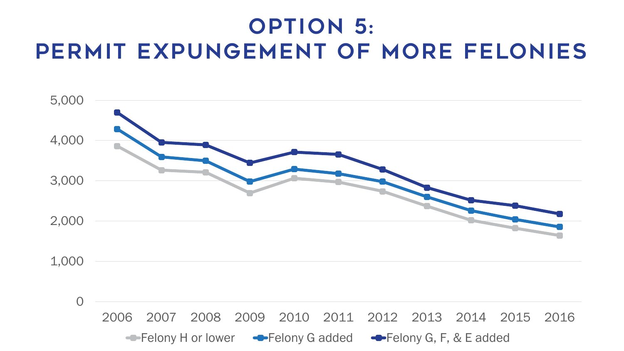# **OPTION 5:** PERMIT EXPUNGEMENT OF MORE FELONIES

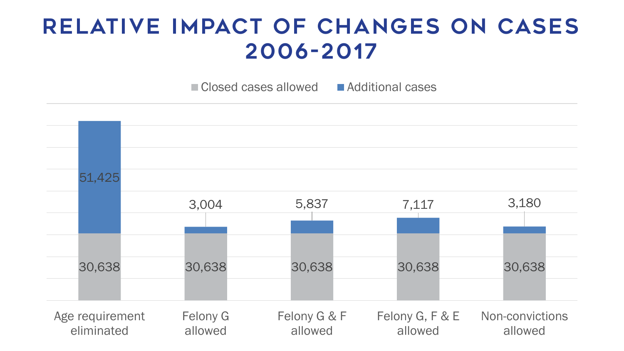## RELATIVE IMPACT OF CHANGES ON CASES 2006-2017

 $\blacksquare$  Closed cases allowed  $\blacksquare$  Additional cases

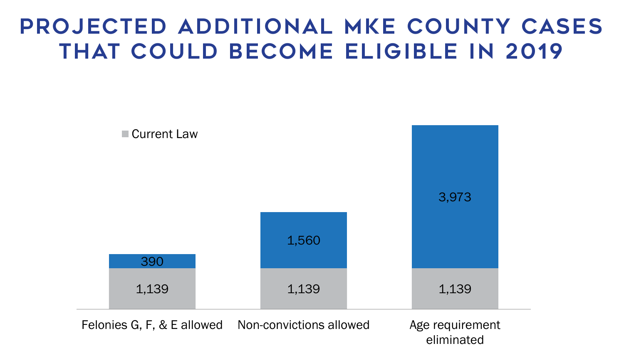# PROJECTED ADDITIONAL MKE COUNTY CASES THAT COULD BECOME ELIGIBLE IN 2019



eliminated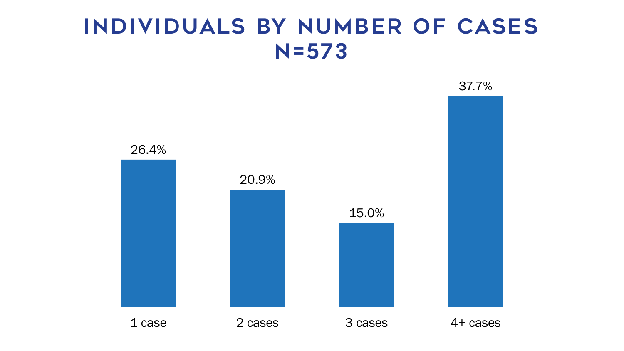## Indiv iduals by number of cases N=573

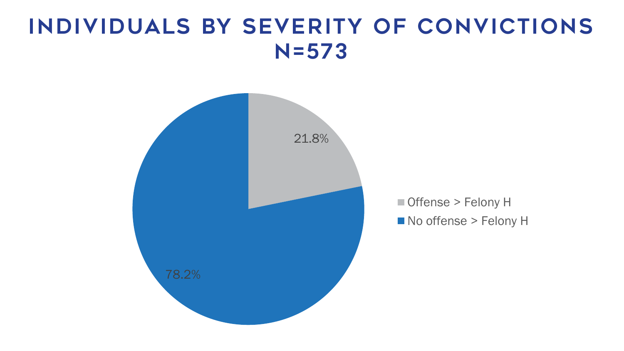## INDIVIDUALS BY SEVERITY OF CONVICTIONS  $N = 573$

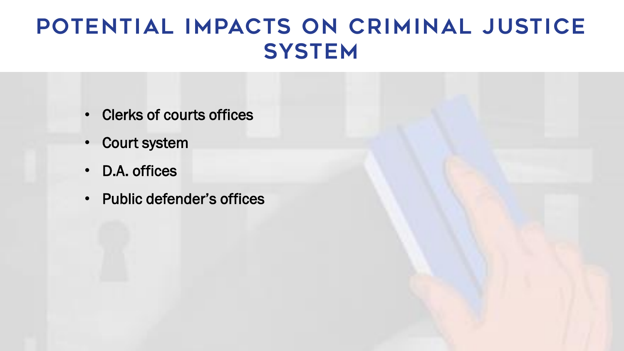## POTENTIAL IMPACTS ON CRIMINAL JUSTICE **SYSTEM**

- Clerks of courts offices
- Court system
- D.A. offices
- Public defender's offices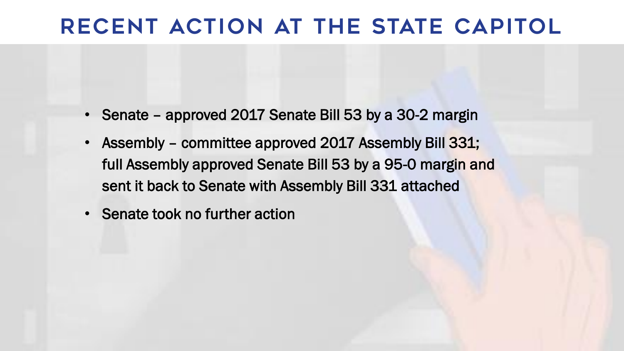## RECENT ACTION AT THE STATE CAPITOL

- Senate approved 2017 Senate Bill 53 by a 30-2 margin
- Assembly committee approved 2017 Assembly Bill 331; full Assembly approved Senate Bill 53 by a 95-0 margin and sent it back to Senate with Assembly Bill 331 attached
- Senate took no further action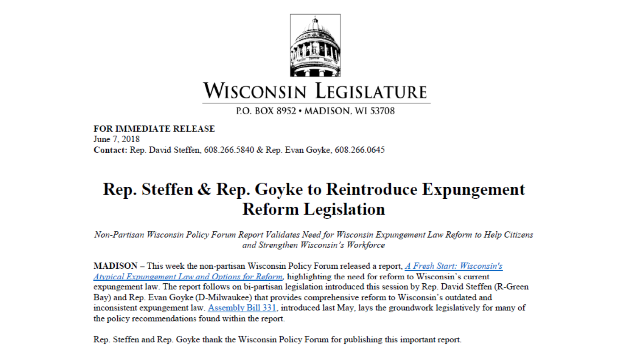

P.O. BOX 8952 • MADISON. WI 53708

**FOR IMMEDIATE RELEASE** June 7, 2018 Contact: Rep. David Steffen, 608.266.5840 & Rep. Evan Goyke, 608.266.0645

#### Rep. Steffen & Rep. Goyke to Reintroduce Expungement **Reform Legislation**

Non-Partisan Wisconsin Policy Forum Report Validates Need for Wisconsin Expungement Law Reform to Help Citizens and Strengthen Wisconsin's Workforce

MADISON – This week the non-partisan Wisconsin Policy Forum released a report, A Fresh Start: Wisconsin's Atypical Expungement Law and Options for Reform, highlighting the need for reform to Wisconsin's current expungement law. The report follows on bi-partisan legislation introduced this session by Rep. David Steffen (R-Green Bay) and Rep. Evan Goyke (D-Milwaukee) that provides comprehensive reform to Wisconsin's outdated and inconsistent expungement law. Assembly Bill 331, introduced last May, lays the groundwork legislatively for many of the policy recommendations found within the report.

Rep. Steffen and Rep. Goyke thank the Wisconsin Policy Forum for publishing this important report.